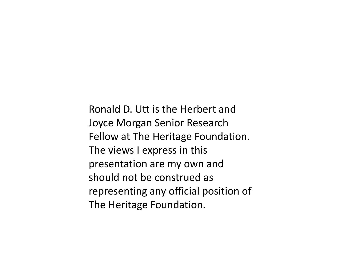Ronald D. Utt is the Herbert and Joyce Morgan Senior Research Fellow at The Heritage Foundation. The views I express in this presentation are my own and should not be construed as representing any official position of The Heritage Foundation.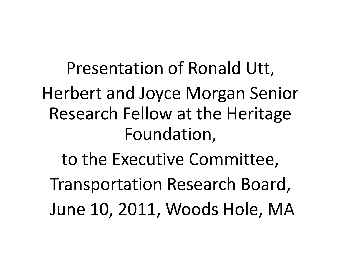Presentation of Ronald Utt, Herbert and Joyce Morgan Senior Research Fellow at the Heritage Foundation, to the Executive Committee, Transportation Research Board, June 10, 2011, Woods Hole, MA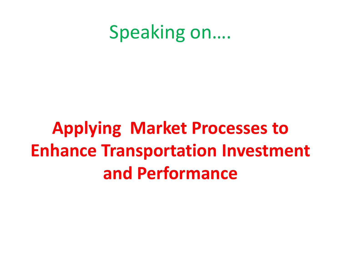#### Speaking on….

# **Applying Market Processes to Enhance Transportation Investment and Performance**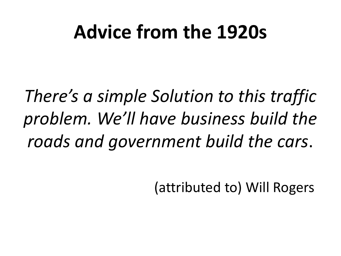## **Advice from the 1920s**

*There's a simple Solution to this traffic problem. We'll have business build the roads and government build the cars*.

(attributed to) Will Rogers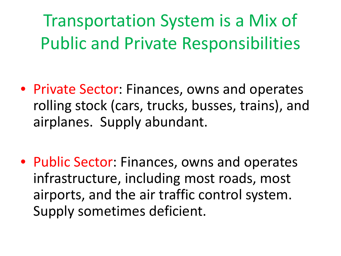Transportation System is a Mix of Public and Private Responsibilities

- Private Sector: Finances, owns and operates rolling stock (cars, trucks, busses, trains), and airplanes. Supply abundant.
- Public Sector: Finances, owns and operates infrastructure, including most roads, most airports, and the air traffic control system. Supply sometimes deficient.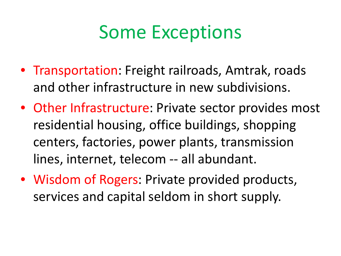### Some Exceptions

- Transportation: Freight railroads, Amtrak, roads and other infrastructure in new subdivisions.
- Other Infrastructure: Private sector provides most residential housing, office buildings, shopping centers, factories, power plants, transmission lines, internet, telecom -- all abundant.
- Wisdom of Rogers: Private provided products, services and capital seldom in short supply.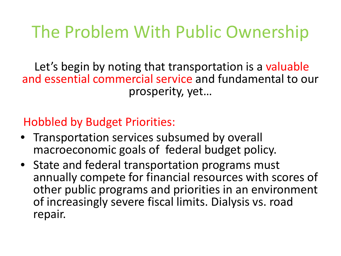#### The Problem With Public Ownership

Let's begin by noting that transportation is a valuable and essential commercial service and fundamental to our prosperity, yet…

Hobbled by Budget Priorities:

- Transportation services subsumed by overall macroeconomic goals of federal budget policy.
- State and federal transportation programs must annually compete for financial resources with scores of other public programs and priorities in an environment of increasingly severe fiscal limits. Dialysis vs. road repair.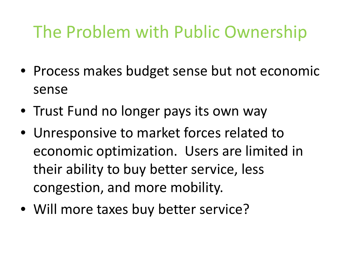#### The Problem with Public Ownership

- Process makes budget sense but not economic sense
- Trust Fund no longer pays its own way
- Unresponsive to market forces related to economic optimization. Users are limited in their ability to buy better service, less congestion, and more mobility.
- Will more taxes buy better service?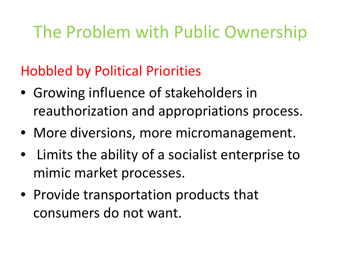#### The Problem with Public Ownership

Hobbled by Political Priorities

- Growing influence of stakeholders in reauthorization and appropriations process.
- More diversions, more micromanagement.
- Limits the ability of a socialist enterprise to mimic market processes.
- Provide transportation products that consumers do not want.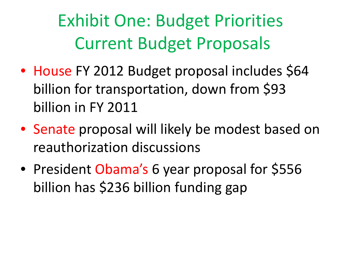Exhibit One: Budget Priorities Current Budget Proposals

- House FY 2012 Budget proposal includes \$64 billion for transportation, down from \$93 billion in FY 2011
- Senate proposal will likely be modest based on reauthorization discussions
- President Obama's 6 year proposal for \$556 billion has \$236 billion funding gap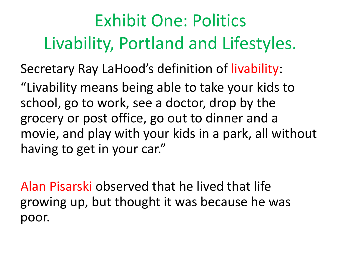## Exhibit One: Politics Livability, Portland and Lifestyles.

Secretary Ray LaHood's definition of livability:

"Livability means being able to take your kids to school, go to work, see a doctor, drop by the grocery or post office, go out to dinner and a movie, and play with your kids in a park, all without having to get in your car."

Alan Pisarski observed that he lived that life growing up, but thought it was because he was poor.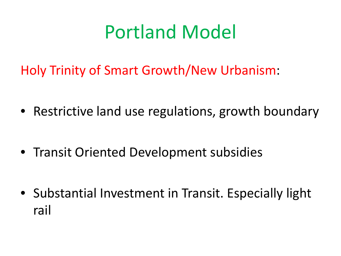# Portland Model

Holy Trinity of Smart Growth/New Urbanism:

- Restrictive land use regulations, growth boundary
- Transit Oriented Development subsidies
- Substantial Investment in Transit. Especially light rail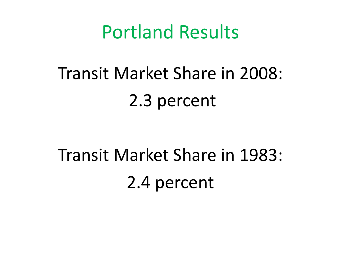#### Portland Results

# Transit Market Share in 2008: 2.3 percent

# Transit Market Share in 1983: 2.4 percent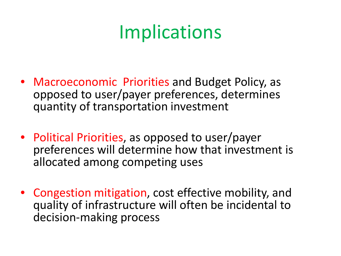# **Implications**

- Macroeconomic Priorities and Budget Policy, as opposed to user/payer preferences, determines quantity of transportation investment
- Political Priorities, as opposed to user/payer preferences will determine how that investment is allocated among competing uses
- Congestion mitigation, cost effective mobility, and quality of infrastructure will often be incidental to decision-making process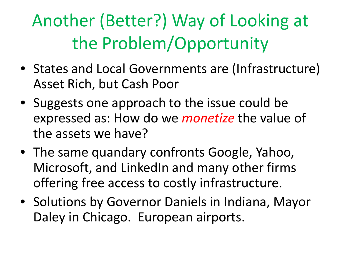# Another (Better?) Way of Looking at the Problem/Opportunity

- States and Local Governments are (Infrastructure) Asset Rich, but Cash Poor
- Suggests one approach to the issue could be expressed as: How do we *monetize* the value of the assets we have?
- The same quandary confronts Google, Yahoo, Microsoft, and LinkedIn and many other firms offering free access to costly infrastructure.
- Solutions by Governor Daniels in Indiana, Mayor Daley in Chicago. European airports.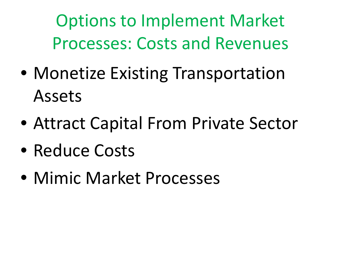Options to Implement Market Processes: Costs and Revenues

- Monetize Existing Transportation Assets
- Attract Capital From Private Sector
- Reduce Costs
- Mimic Market Processes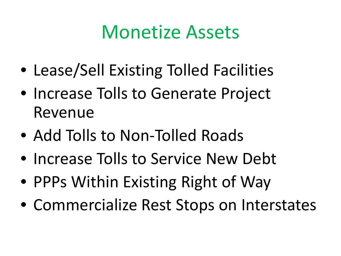#### Monetize Assets

- Lease/Sell Existing Tolled Facilities
- Increase Tolls to Generate Project Revenue
- Add Tolls to Non-Tolled Roads
- Increase Tolls to Service New Debt
- PPPs Within Existing Right of Way
- Commercialize Rest Stops on Interstates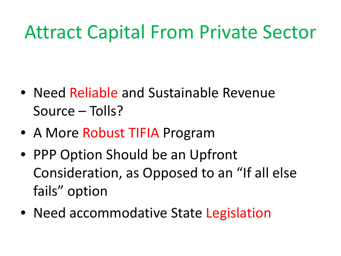# Attract Capital From Private Sector

- Need Reliable and Sustainable Revenue Source – Tolls?
- A More Robust TIFIA Program
- PPP Option Should be an Upfront Consideration, as Opposed to an "If all else fails" option
- Need accommodative State Legislation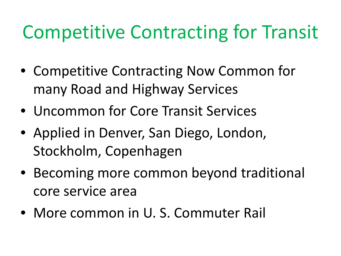# Competitive Contracting for Transit

- Competitive Contracting Now Common for many Road and Highway Services
- Uncommon for Core Transit Services
- Applied in Denver, San Diego, London, Stockholm, Copenhagen
- Becoming more common beyond traditional core service area
- More common in U. S. Commuter Rail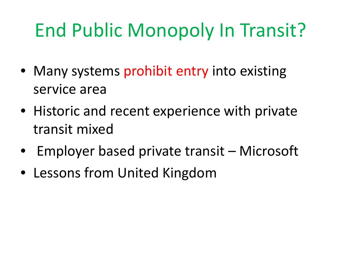# End Public Monopoly In Transit?

- Many systems prohibit entry into existing service area
- Historic and recent experience with private transit mixed
- Employer based private transit Microsoft
- Lessons from United Kingdom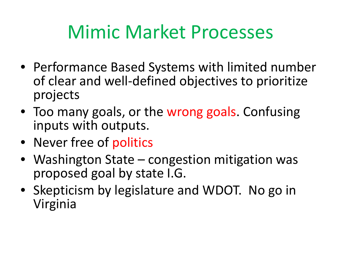# Mimic Market Processes

- Performance Based Systems with limited number of clear and well-defined objectives to prioritize projects
- Too many goals, or the wrong goals. Confusing inputs with outputs.
- Never free of politics
- Washington State congestion mitigation was proposed goal by state I.G.
- Skepticism by legislature and WDOT. No go in Virginia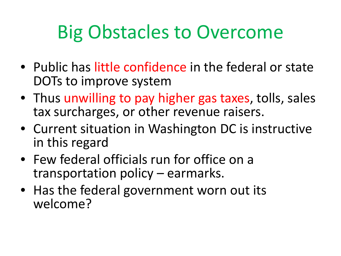# Big Obstacles to Overcome

- Public has little confidence in the federal or state DOTs to improve system
- Thus unwilling to pay higher gas taxes, tolls, sales tax surcharges, or other revenue raisers.
- Current situation in Washington DC is instructive in this regard
- Few federal officials run for office on a transportation policy – earmarks.
- Has the federal government worn out its welcome?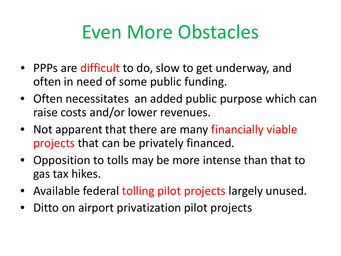# Even More Obstacles

- PPPs are difficult to do, slow to get underway, and often in need of some public funding.
- Often necessitates an added public purpose which can raise costs and/or lower revenues.
- Not apparent that there are many financially viable projects that can be privately financed.
- Opposition to tolls may be more intense than that to gas tax hikes.
- Available federal tolling pilot projects largely unused.
- Ditto on airport privatization pilot projects